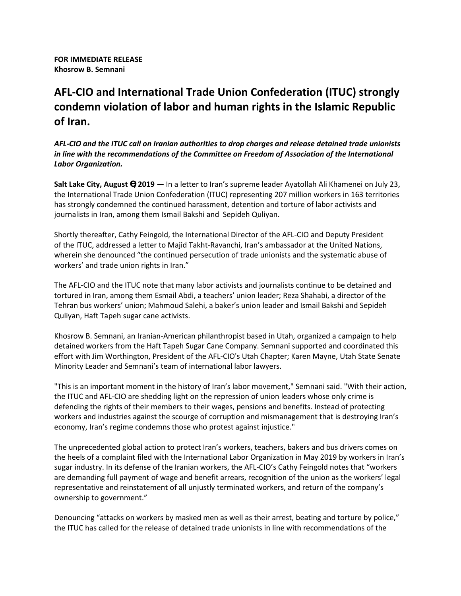### **AFL-CIO and International Trade Union Confederation (ITUC) strongly condemn violation of labor and human rights in the Islamic Republic of Iran.**

*AFL-CIO and the ITUC call on Iranian authorities to drop charges and release detained trade unionists in line with the recommendations of the Committee on Freedom of Association of the International Labor Organization.*

**Salt Lake City, August , 2019 —** In a letter to Iran's supreme leader Ayatollah Ali Khamenei on July 23, the International Trade Union Confederation (ITUC) representing 207 million workers in 163 territories has strongly condemned the continued harassment, detention and torture of labor activists and journalists in Iran, among them Ismail Bakshi and Sepideh Quliyan.

Shortly thereafter, Cathy Feingold, the International Director of the AFL-CIO and Deputy President of the ITUC, addressed a letter to Majid Takht-Ravanchi, Iran's ambassador at the United Nations, wherein she denounced "the continued persecution of trade unionists and the systematic abuse of workers' and trade union rights in Iran."

The AFL-CIO and the ITUC note that many labor activists and journalists continue to be detained and tortured in Iran, among them Esmail Abdi, a teachers' union leader; Reza Shahabi, a director of the Tehran bus workers' union; Mahmoud Salehi, a baker's union leader and Ismail Bakshi and Sepideh Quliyan, Haft Tapeh sugar cane activists.

Khosrow B. Semnani, an Iranian-American philanthropist based in Utah, organized a campaign to help detained workers from the Haft Tapeh Sugar Cane Company. Semnani supported and coordinated this effort with Jim Worthington, President of the AFL-CIO's Utah Chapter; Karen Mayne, Utah State Senate Minority Leader and Semnani's team of international labor lawyers.

"This is an important moment in the history of Iran's labor movement," Semnani said. "With their action, the ITUC and AFL-CIO are shedding light on the repression of union leaders whose only crime is defending the rights of their members to their wages, pensions and benefits. Instead of protecting workers and industries against the scourge of corruption and mismanagement that is destroying Iran's economy, Iran's regime condemns those who protest against injustice."

The unprecedented global action to protect Iran's workers, teachers, bakers and bus drivers comes on the heels of a complaint filed with the International Labor Organization in May 2019 by workers in Iran's sugar industry. In its defense of the Iranian workers, the AFL-CIO's Cathy Feingold notes that "workers are demanding full payment of wage and benefit arrears, recognition of the union as the workers' legal representative and reinstatement of all unjustly terminated workers, and return of the company's ownership to government."

Denouncing "attacks on workers by masked men as well as their arrest, beating and torture by police," the ITUC has called for the release of detained trade unionists in line with recommendations of the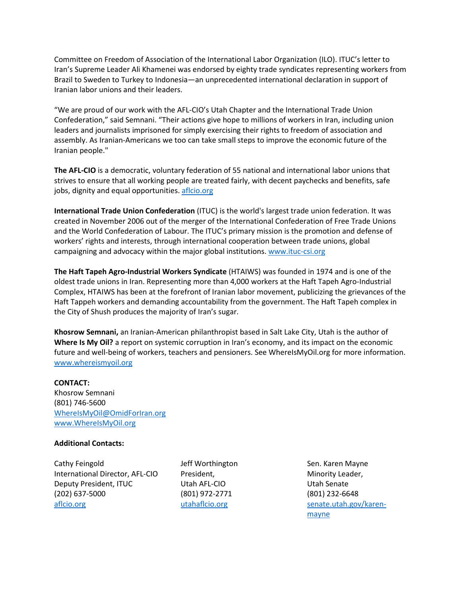Committee on Freedom of Association of the International Labor Organization (ILO). ITUC's letter to Iran's Supreme Leader Ali Khamenei was endorsed by eighty trade syndicates representing workers from Brazil to Sweden to Turkey to Indonesia—an unprecedented international declaration in support of Iranian labor unions and their leaders.

"We are proud of our work with the AFL-CIO's Utah Chapter and the International Trade Union Confederation," said Semnani. "Their actions give hope to millions of workers in Iran, including union leaders and journalists imprisoned for simply exercising their rights to freedom of association and assembly. As Iranian-Americans we too can take small steps to improve the economic future of the Iranian people."

**The AFL-CIO** is a democratic, voluntary federation of 55 national and international labor unions that strives to ensure that all working people are treated fairly, with decent paychecks and benefits, safe jobs, dignity and equal opportunities. [aflcio.org](https://aflcio.org/)

**International Trade Union Confederation** (ITUC) is the world's largest trade union federation. It was created in November 2006 out of the merger of the International Confederation of Free Trade Unions and the World Confederation of Labour. The ITUC's primary mission is the promotion and defense of workers' rights and interests, through international cooperation between trade unions, global campaigning and advocacy within the major global institutions. [www.ituc-csi.org](http://www.ituc-csi.org/)

**The Haft Tapeh Agro-Industrial Workers Syndicate** (HTAIWS) was founded in 1974 and is one of the oldest trade unions in Iran. Representing more than 4,000 workers at the Haft Tapeh Agro-Industrial Complex, HTAIWS has been at the forefront of Iranian labor movement, publicizing the grievances of the Haft Tappeh workers and demanding accountability from the government. The Haft Tapeh complex in the City of Shush produces the majority of Iran's sugar.

**Khosrow Semnani,** an Iranian-American philanthropist based in Salt Lake City, Utah is the author of **Where Is My Oil?** a report on systemic corruption in Iran's economy, and its impact on the economic future and well-being of workers, teachers and pensioners. See WhereIsMyOil.org for more information. [www.whereismyoil.org](http://www.whereismyoil.org/)

#### **CONTACT:**

Khosrow Semnani (801) 746-5600 [WhereIsMyOil@OmidForIran.org](mailto:WhereIsMyOil@OmidForIran.org) [www.WhereIsMyOil.org](http://www.whereismyoil.org/)

#### **Additional Contacts:**

Cathy Feingold International Director, AFL-CIO Deputy President, ITUC (202) 637-5000 [aflcio.org](http://www.aflcio.org/)

Jeff Worthington President, Utah AFL-CIO (801) 972-2771 [utahaflcio.org](http://utahaflcio.org/)

Sen. Karen Mayne Minority Leader, Utah Senate (801) 232-6648 [senate.utah.gov/karen](https://senate.utah.gov/karen-mayne)[mayne](https://senate.utah.gov/karen-mayne)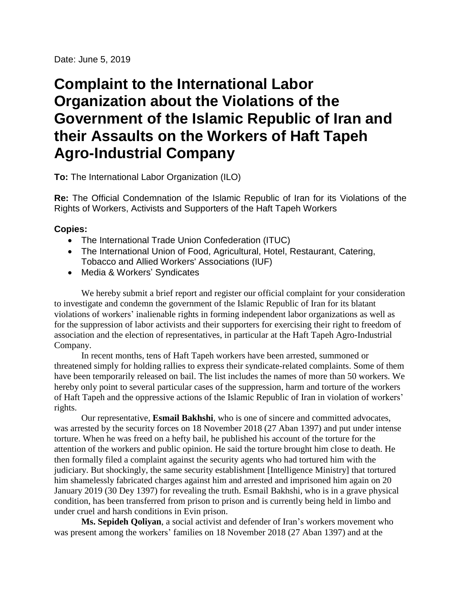Date: June 5, 2019

## **Complaint to the International Labor Organization about the Violations of the Government of the Islamic Republic of Iran and their Assaults on the Workers of Haft Tapeh Agro-Industrial Company**

**To:** The International Labor Organization (ILO)

**Re:** The Official Condemnation of the Islamic Republic of Iran for its Violations of the Rights of Workers, Activists and Supporters of the Haft Tapeh Workers

#### **Copies:**

- The International Trade Union Confederation (ITUC)
- The International Union of Food, Agricultural, Hotel, Restaurant, Catering, Tobacco and Allied Workers' Associations (IUF)
- Media & Workers' Syndicates

We hereby submit a brief report and register our official complaint for your consideration to investigate and condemn the government of the Islamic Republic of Iran for its blatant violations of workers' inalienable rights in forming independent labor organizations as well as for the suppression of labor activists and their supporters for exercising their right to freedom of association and the election of representatives, in particular at the Haft Tapeh Agro-Industrial Company.

In recent months, tens of Haft Tapeh workers have been arrested, summoned or threatened simply for holding rallies to express their syndicate-related complaints. Some of them have been temporarily released on bail. The list includes the names of more than 50 workers. We hereby only point to several particular cases of the suppression, harm and torture of the workers of Haft Tapeh and the oppressive actions of the Islamic Republic of Iran in violation of workers' rights.

Our representative, **Esmail Bakhshi**, who is one of sincere and committed advocates, was arrested by the security forces on 18 November 2018 (27 Aban 1397) and put under intense torture. When he was freed on a hefty bail, he published his account of the torture for the attention of the workers and public opinion. He said the torture brought him close to death. He then formally filed a complaint against the security agents who had tortured him with the judiciary. But shockingly, the same security establishment [Intelligence Ministry] that tortured him shamelessly fabricated charges against him and arrested and imprisoned him again on 20 January 2019 (30 Dey 1397) for revealing the truth. Esmail Bakhshi, who is in a grave physical condition, has been transferred from prison to prison and is currently being held in limbo and under cruel and harsh conditions in Evin prison.

**Ms. Sepideh Qoliyan**, a social activist and defender of Iran's workers movement who was present among the workers' families on 18 November 2018 (27 Aban 1397) and at the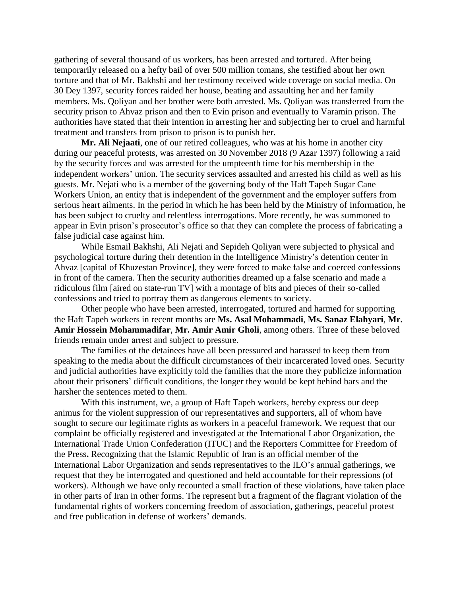gathering of several thousand of us workers, has been arrested and tortured. After being temporarily released on a hefty bail of over 500 million tomans, she testified about her own torture and that of Mr. Bakhshi and her testimony received wide coverage on social media. On 30 Dey 1397, security forces raided her house, beating and assaulting her and her family members. Ms. Qoliyan and her brother were both arrested. Ms. Qoliyan was transferred from the security prison to Ahvaz prison and then to Evin prison and eventually to Varamin prison. The authorities have stated that their intention in arresting her and subjecting her to cruel and harmful treatment and transfers from prison to prison is to punish her.

**Mr. Ali Nejaati**, one of our retired colleagues, who was at his home in another city during our peaceful protests, was arrested on 30 November 2018 (9 Azar 1397) following a raid by the security forces and was arrested for the umpteenth time for his membership in the independent workers' union. The security services assaulted and arrested his child as well as his guests. Mr. Nejati who is a member of the governing body of the Haft Tapeh Sugar Cane Workers Union, an entity that is independent of the government and the employer suffers from serious heart ailments. In the period in which he has been held by the Ministry of Information, he has been subject to cruelty and relentless interrogations. More recently, he was summoned to appear in Evin prison's prosecutor's office so that they can complete the process of fabricating a false judicial case against him.

While Esmail Bakhshi, Ali Nejati and Sepideh Qoliyan were subjected to physical and psychological torture during their detention in the Intelligence Ministry's detention center in Ahvaz [capital of Khuzestan Province], they were forced to make false and coerced confessions in front of the camera. Then the security authorities dreamed up a false scenario and made a ridiculous film [aired on state-run TV] with a montage of bits and pieces of their so-called confessions and tried to portray them as dangerous elements to society.

Other people who have been arrested, interrogated, tortured and harmed for supporting the Haft Tapeh workers in recent months are **Ms. Asal Mohammadi**, **Ms. Sanaz Elahyari**, **Mr. Amir Hossein Mohammadifar**, **Mr. Amir Amir Gholi**, among others. Three of these beloved friends remain under arrest and subject to pressure.

The families of the detainees have all been pressured and harassed to keep them from speaking to the media about the difficult circumstances of their incarcerated loved ones. Security and judicial authorities have explicitly told the families that the more they publicize information about their prisoners' difficult conditions, the longer they would be kept behind bars and the harsher the sentences meted to them.

With this instrument, we, a group of Haft Tapeh workers, hereby express our deep animus for the violent suppression of our representatives and supporters, all of whom have sought to secure our legitimate rights as workers in a peaceful framework. We request that our complaint be officially registered and investigated at the International Labor Organization, the International Trade Union Confederation (ITUC) and the Reporters Committee for Freedom of the Press**.** Recognizing that the Islamic Republic of Iran is an official member of the International Labor Organization and sends representatives to the ILO's annual gatherings, we request that they be interrogated and questioned and held accountable for their repressions (of workers). Although we have only recounted a small fraction of these violations, have taken place in other parts of Iran in other forms. The represent but a fragment of the flagrant violation of the fundamental rights of workers concerning freedom of association, gatherings, peaceful protest and free publication in defense of workers' demands.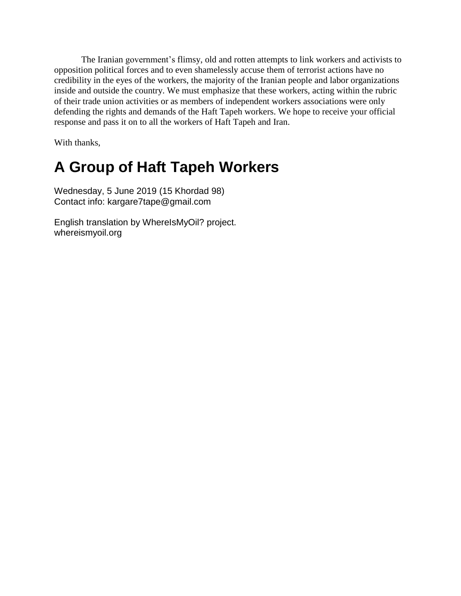The Iranian government's flimsy, old and rotten attempts to link workers and activists to opposition political forces and to even shamelessly accuse them of terrorist actions have no credibility in the eyes of the workers, the majority of the Iranian people and labor organizations inside and outside the country. We must emphasize that these workers, acting within the rubric of their trade union activities or as members of independent workers associations were only defending the rights and demands of the Haft Tapeh workers. We hope to receive your official response and pass it on to all the workers of Haft Tapeh and Iran.

With thanks,

## **A Group of Haft Tapeh Workers**

Wednesday, 5 June 2019 (15 Khordad 98) Contact info: kargare7tape@gmail.com

English translation by WhereIsMyOil? project. whereismyoil.org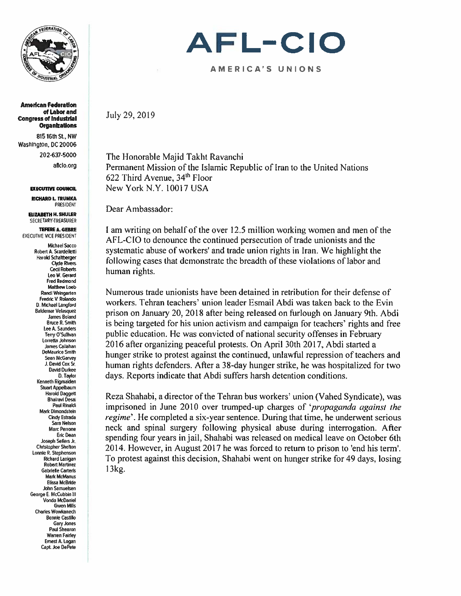

American Federation of Labor and Congress of Industrial **Organizations** 

815 16th St., NW Washington, DC 20006 202-637-5000 aficio.org

EXECUTIVE COUNCIL

RICHARD L. TRUMKA PRESIDENT ELIZABETH H. SHULER

SECRETARY-TREASURER

TEFERE A. GEBRE EXECUTIVE VICE PRESIDENt

> Michael Sacco Robert A. Scardelletli Harold Scha itberger Clyde Rivers Cecil Roberts Leo W. Gerard Fred Redmond Matthew Loeb Randi Weingarlen Fredric V. Rolando 0. Michael Langford Baldemar Velasquez James Boland Bmce R. Smilh lee 4. Saunders Terry O'Sullivan Lorretla Johnson James Callahan DeMaurice Smith Sean McGarvey J. David Cox Sr David Du'kee 0. Taylor Kenneth Rigmaiden Stuart Appelbaum **Harold Daggett Bhairavi Desai** Paul Rinaldi Mark Dimondsten Cindy Esfrada Sara Nelson Marc Perrone Eric Dean Joseph Sellers Jr. Christopher Sheton Lonnie R. Stephenson **Richard Lanigan** Robert Martinez Gabrielle Carteris Mark McManus Elissa McBride John Sarnuelsen George E. McCubbin Ill Vonda McDaniel Gwen Mills Charles Wowkanech Bonnie Castillo Gary Jones Paul Shearon Warren Fairley Ernest A. Logan Capt. Joe DePele

# AFL-CIO

#### A ME RI C A' S UNIONS

July 29. 2019

The Honorable Majid Takht Ravanchi Permanent Mission of the Islamic Republic of Iran to the United Nations 622 Third Avenue.  $34<sup>th</sup>$  Floor New York N.Y. 10017 USA

Dear Ambassador:

I am writing on behalf of the over 12,5 million working women and men of the AFL-CIO to denounce the continued persecution of trade unionists and the systematic abuse of workers' and trade union rights in Iran. We highlight the following eases that demonstrate the breadth of these violations of labor and human rights.

Numerous trade unionists have been detained in retribution for their defense of workers. Tehran teachers' union leader Esmail Abdi was taken back to the Evin prison on January 20, 2018 after being released on furlough on January 9th. Abdi is being targeted for his union activism and campaign for teachers' rights and free public education. He was convicted of national security offenses in February 2016 after organizing peaceful protests. On April 30th 2017, Abdi started <sup>a</sup> hunger strike to protest against the continued, unlawful repression of teachers and human rights defenders. After a 38-day hunger strike, he was hospitalized for two days. Reports indicate that Abdi suffers harsh detention conditions.

Reza Shahabi, <sup>a</sup> director of the Tehran bus workers' union (Vahed Syndicate). was imprisoned in June 2010 over trumped-up charges of '*propaganda against the* regime'. He completed a six-year sentence. During that time, he underwent serious neck and spinal surgery following physical abuse during interrogation. After spending four years in jail. Shahabi was released on medical leave on October 6th 2014. However, in August 2017 he was forced to return to prison to 'end his term'. To protest against this decision, Shahabi went on hunger strike for 49 days, losing  $13$  kg.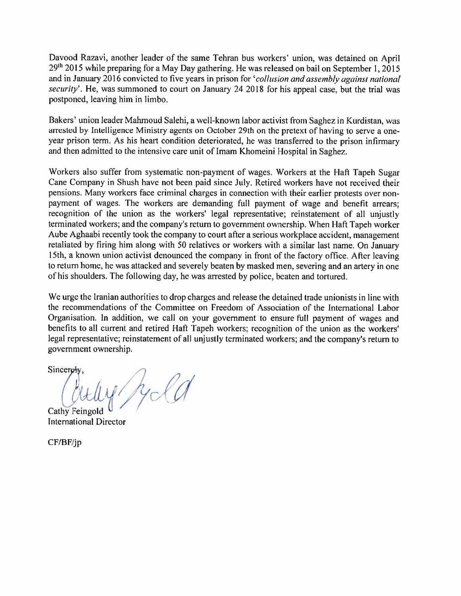Davood Razavi, another leader of the same Tehran bus workers' union, was detained on April  $29<sup>th</sup>$  2015 while preparing for a May Day gathering. He was released on bail on September 1, 2015 and in January 2016 convicted to five years in prison for 'collusion and assembly against national security'. He, was summoned to court on January 24 2018 for his appeal case, but the trial was postponed. leaving him in limbo.

Bakers' union leader Mahmoud Salehi, a well-known labor activist from Saghez in Kurdistan, was arrested by Intelligence Ministry agents on October 29th on the pretext of having to serve <sup>a</sup> oneyear prison term. As his heart condition deteriorated, he was transferred to the prison infirmary and then admitted to the intensive care unit of Imam Khomeini Hospital in Saghez.

Workers also suffer from systematic non-payment of wages. Workers at the Haft Tapeh Sugar Cane Company in Shush have not been paid since July. Retired workers have not received their pensions. Many workers face criminal charges in connection with their earlier protests over non paymen<sup>t</sup> of wages. The workers are demanding full paymen<sup>t</sup> of wage and benefit arrears: recognition of the union as the workers' legal representative; reinstatement of all unjustly terminated workers; and the company's return to government ownership. When Haft Tapeh worker Aube Aghaahi recently took the company to court afler <sup>a</sup> serious workplace accident, managemen<sup>t</sup> retaliated by firing him along with <sup>50</sup> relatives or workers with <sup>a</sup> similar last name. On January 15th. <sup>a</sup> known union activist denounced the company in front of the factory office. After leaving to return home, he was attacked and severely beaten by masked men, severing and an artery in one of his shoulders. The following day. he was arrested by police, beaten and tortured.

We urge the Iranian authorities to drop charges and release the detained trade unionists in line with the recommendations of the Committee on Freedom of Association of the International Lahor Organisation. In addition, we call on your government to ensure full payment of wages and benefits to all current and retired Haft Tapeh workers; recognition of the union as the workers' legal representative; reinstatement of all unjustly terminated workers: and the company's return to governmen<sup>t</sup> ownership.

Sincerely.

 $i. h. o/h$  $\frac{1}{2}$ Cathy Feingold

International Director

 $CF/BF/ip$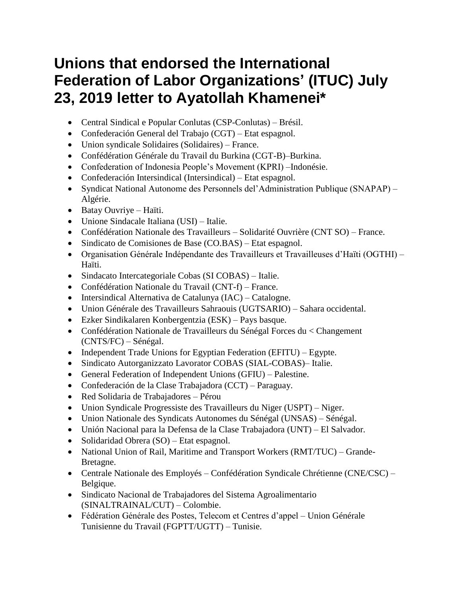## **Unions that endorsed the International Federation of Labor Organizations' (ITUC) July 23, 2019 letter to Ayatollah Khamenei\***

- Central Sindical e Popular Conlutas (CSP-Conlutas) Brésil.
- Confederación General del Trabajo (CGT) Etat espagnol.
- Union syndicale Solidaires (Solidaires) France.
- Confédération Générale du Travail du Burkina (CGT-B)–Burkina.
- Confederation of Indonesia People's Movement (KPRI) –Indonésie.
- Confederación Intersindical (Intersindical) Etat espagnol.
- Syndicat National Autonome des Personnels del'Administration Publique (SNAPAP) Algérie.
- Batay Ouvriye Haïti.
- Unione Sindacale Italiana (USI) Italie.
- Confédération Nationale des Travailleurs Solidarité Ouvrière (CNT SO) France.
- Sindicato de Comisiones de Base (CO.BAS) Etat espagnol.
- Organisation Générale Indépendante des Travailleurs et Travailleuses d'Haïti (OGTHI) Haïti.
- Sindacato Intercategoriale Cobas (SI COBAS) Italie.
- Confédération Nationale du Travail (CNT-f) France.
- Intersindical Alternativa de Catalunya (IAC) Catalogne.
- Union Générale des Travailleurs Sahraouis (UGTSARIO) Sahara occidental.
- Ezker Sindikalaren Konbergentzia (ESK) Pays basque.
- Confédération Nationale de Travailleurs du Sénégal Forces du < Changement (CNTS/FC) – Sénégal.
- Independent Trade Unions for Egyptian Federation (EFITU) Egypte.
- Sindicato Autorganizzato Lavorator COBAS (SIAL-COBAS)– Italie.
- General Federation of Independent Unions (GFIU) Palestine.
- Confederación de la Clase Trabajadora (CCT) Paraguay.
- Red Solidaria de Trabajadores Pérou
- Union Syndicale Progressiste des Travailleurs du Niger (USPT) Niger.
- Union Nationale des Syndicats Autonomes du Sénégal (UNSAS) Sénégal.
- Unión Nacional para la Defensa de la Clase Trabajadora (UNT) El Salvador.
- Solidaridad Obrera (SO) Etat espagnol.
- National Union of Rail, Maritime and Transport Workers (RMT/TUC) Grande-Bretagne.
- Centrale Nationale des Employés Confédération Syndicale Chrétienne (CNE/CSC) Belgique.
- Sindicato Nacional de Trabajadores del Sistema Agroalimentario (SINALTRAINAL/CUT) – Colombie.
- Fédération Générale des Postes, Telecom et Centres d'appel Union Générale Tunisienne du Travail (FGPTT/UGTT) – Tunisie.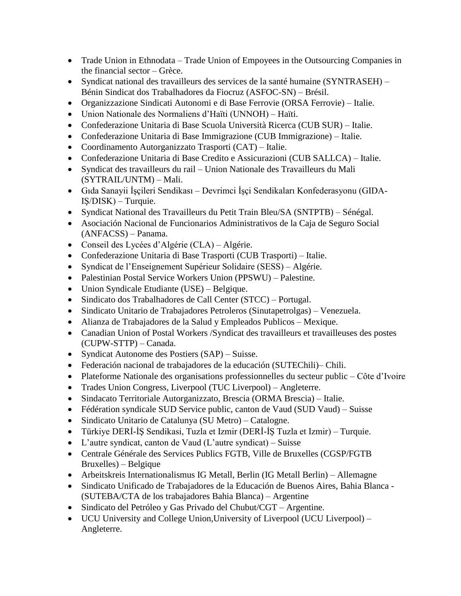- Trade Union in Ethnodata Trade Union of Empoyees in the Outsourcing Companies in the financial sector – Grèce.
- Syndicat national des travailleurs des services de la santé humaine (SYNTRASEH) Bénin Sindicat dos Trabalhadores da Fiocruz (ASFOC-SN) – Brésil.
- Organizzazione Sindicati Autonomi e di Base Ferrovie (ORSA Ferrovie) Italie.
- Union Nationale des Normaliens d'Haïti (UNNOH) Haïti.
- Confederazione Unitaria di Base Scuola Università Ricerca (CUB SUR) Italie.
- Confederazione Unitaria di Base Immigrazione (CUB Immigrazione) Italie.
- Coordinamento Autorganizzato Trasporti (CAT) Italie.
- Confederazione Unitaria di Base Credito e Assicurazioni (CUB SALLCA) Italie.
- Syndicat des travailleurs du rail Union Nationale des Travailleurs du Mali (SYTRAIL/UNTM) – Mali.
- Gıda Sanayii İşçileri Sendikası Devrimci İşçi Sendikaları Konfederasyonu (GIDA-IŞ/DISK) – Turquie.
- Syndicat National des Travailleurs du Petit Train Bleu/SA (SNTPTB) Sénégal.
- Asociación Nacional de Funcionarios Administrativos de la Caja de Seguro Social (ANFACSS) – Panama.
- Conseil des Lycées d'Algérie (CLA) Algérie.
- Confederazione Unitaria di Base Trasporti (CUB Trasporti) Italie.
- Syndicat de l'Enseignement Supérieur Solidaire (SESS) Algérie.
- Palestinian Postal Service Workers Union (PPSWU) Palestine.
- Union Syndicale Etudiante (USE) Belgique.
- Sindicato dos Trabalhadores de Call Center (STCC) Portugal.
- Sindicato Unitario de Trabajadores Petroleros (Sinutapetrolgas) Venezuela.
- Alianza de Trabajadores de la Salud y Empleados Publicos Mexique.
- Canadian Union of Postal Workers /Syndicat des travailleurs et travailleuses des postes (CUPW-STTP) – Canada.
- Syndicat Autonome des Postiers (SAP) Suisse.
- Federación nacional de trabajadores de la educación (SUTEChili)– Chili.
- Plateforme Nationale des organisations professionnelles du secteur public Côte d'Ivoire
- Trades Union Congress, Liverpool (TUC Liverpool) Angleterre.
- Sindacato Territoriale Autorganizzato, Brescia (ORMA Brescia) Italie.
- Fédération syndicale SUD Service public, canton de Vaud (SUD Vaud) Suisse
- Sindicato Unitario de Catalunya (SU Metro) Catalogne.
- Türkiye DERİ-İŞ Sendikasi, Tuzla et Izmir (DERİ-İŞ Tuzla et Izmir) Turquie.
- L'autre syndicat, canton de Vaud (L'autre syndicat) Suisse
- Centrale Générale des Services Publics FGTB, Ville de Bruxelles (CGSP/FGTB Bruxelles) – Belgique
- Arbeitskreis Internationalismus IG Metall, Berlin (IG Metall Berlin) Allemagne
- Sindicato Unificado de Trabajadores de la Educación de Buenos Aires, Bahia Blanca (SUTEBA/CTA de los trabajadores Bahia Blanca) – Argentine
- Sindicato del Petróleo y Gas Privado del Chubut/CGT Argentine.
- UCU University and College Union,University of Liverpool (UCU Liverpool) Angleterre.